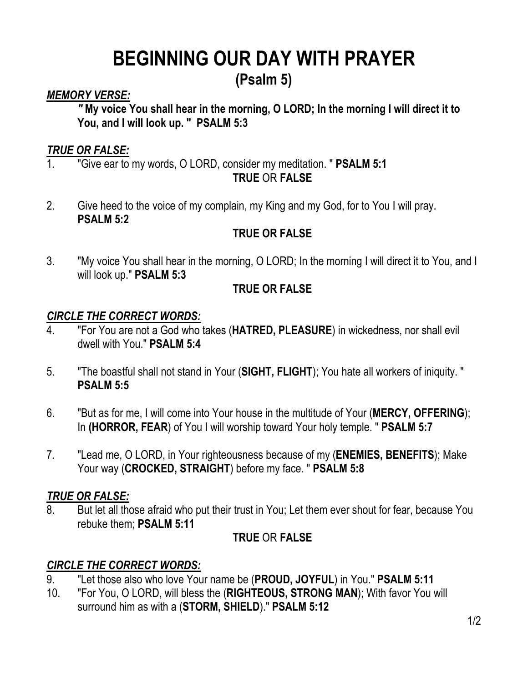# **BEGINNING OUR DAY WITH PRAYER**

### **(Psalm 5)**

#### *MEMORY VERSE:*

*"* **My voice You shall hear in the morning, O LORD; In the morning I will direct it to You, and I will look up. "****PSALM 5:3**

#### *TRUE OR FALSE:*

- 1. "Give ear to my words, O LORD, consider my meditation. " **PSALM 5:1 TRUE** OR **FALSE**
- 2. Give heed to the voice of my complain, my King and my God, for to You I will pray. **PSALM 5:2**

#### **TRUE OR FALSE**

3. "My voice You shall hear in the morning, O LORD; In the morning I will direct it to You, and I will look up." **PSALM 5:3**

#### **TRUE OR FALSE**

#### *CIRCLE THE CORRECT WORDS:*

- 4. "For You are not a God who takes (**HATRED, PLEASURE**) in wickedness, nor shall evil dwell with You." **PSALM 5:4**
- 5. "The boastful shall not stand in Your (**SIGHT, FLIGHT**); You hate all workers of iniquity. " **PSALM 5:5**
- 6. "But as for me, I will come into Your house in the multitude of Your (**MERCY, OFFERING**); In **(HORROR, FEAR**) of You I will worship toward Your holy temple. " **PSALM 5:7**
- 7. "Lead me, O LORD, in Your righteousness because of my (**ENEMIES, BENEFITS**); Make Your way (**CROCKED, STRAIGHT**) before my face. " **PSALM 5:8**

#### *TRUE OR FALSE:*

8. But let all those afraid who put their trust in You; Let them ever shout for fear, because You rebuke them; **PSALM 5:11**

#### **TRUE** OR **FALSE**

#### *CIRCLE THE CORRECT WORDS:*

- 9. "Let those also who love Your name be (**PROUD, JOYFUL**) in You." **PSALM 5:11**
- 10. "For You, O LORD, will bless the (**RIGHTEOUS, STRONG MAN**); With favor You will surround him as with a (**STORM, SHIELD**)." **PSALM 5:12**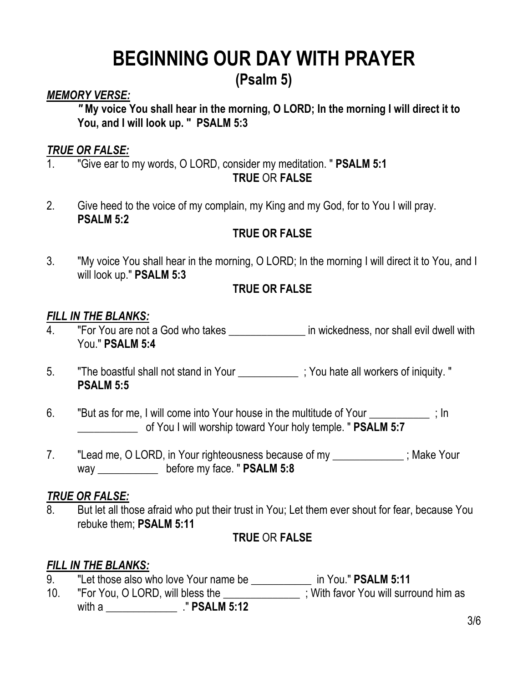# **BEGINNING OUR DAY WITH PRAYER**

### **(Psalm 5)**

#### *MEMORY VERSE:*

*"* **My voice You shall hear in the morning, O LORD; In the morning I will direct it to You, and I will look up. "****PSALM 5:3**

#### *TRUE OR FALSE:*

- 1. "Give ear to my words, O LORD, consider my meditation. " **PSALM 5:1 TRUE** OR **FALSE**
- 2. Give heed to the voice of my complain, my King and my God, for to You I will pray. **PSALM 5:2**

#### **TRUE OR FALSE**

3. "My voice You shall hear in the morning, O LORD; In the morning I will direct it to You, and I will look up." **PSALM 5:3**

#### **TRUE OR FALSE**

#### *FILL IN THE BLANKS:*

- 4. "For You are not a God who takes \_\_\_\_\_\_\_\_\_\_\_\_\_\_\_ in wickedness, nor shall evil dwell with You." **PSALM 5:4**
- 5. The boastful shall not stand in Your **The Stand in You Fash Stand** ; You hate all workers of iniquity. " **PSALM 5:5**
- 6. "But as for me, I will come into Your house in the multitude of Your [100]  $\cdot$  ; In \_\_\_\_\_\_\_\_\_\_\_ of You I will worship toward Your holy temple. " **PSALM 5:7**
- 7. "Lead me, O LORD, in Your righteousness because of my example in the Your way \_\_\_\_\_\_\_\_\_\_\_ before my face. " **PSALM 5:8**

#### *TRUE OR FALSE:*

8. But let all those afraid who put their trust in You; Let them ever shout for fear, because You rebuke them; **PSALM 5:11**

#### **TRUE** OR **FALSE**

#### *FILL IN THE BLANKS:*

- 9. "Let those also who love Your name be \_\_\_\_\_\_\_\_\_\_\_ in You." **PSALM 5:11**
- 10. "For You, O LORD, will bless the **the contract of the surfull surround him as**

with a \_\_\_\_\_\_\_\_\_\_\_\_\_ ." **PSALM 5:12**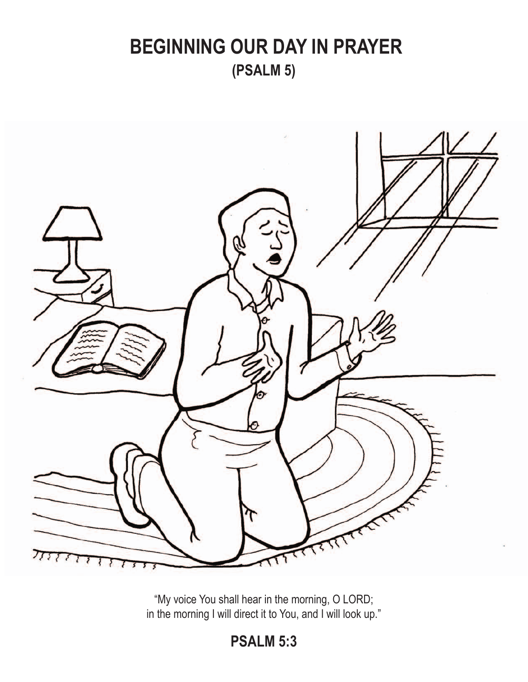## **BEGINNING OUR DAY IN PRAYER (PSALM 5)**



"My voice You shall hear in the morning, O LORD; in the morning I will direct it to You, and I will look up."

### **PSALM 5:3**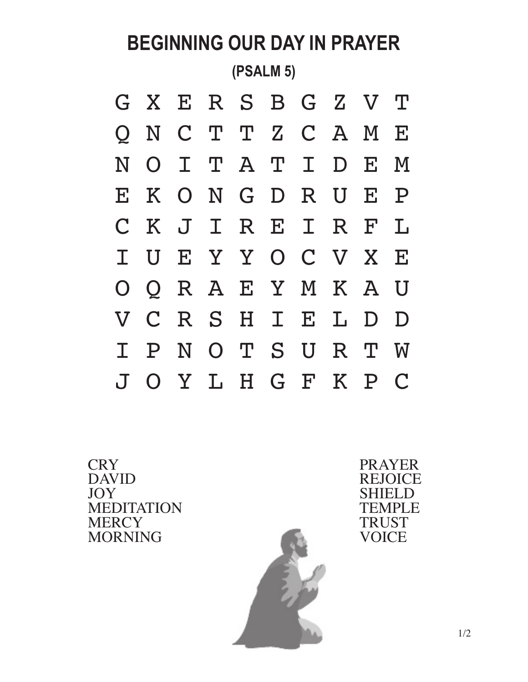# **BEGINNING OUR DAY IN PRAYER (PSALM 5)**



**CRY** DAVID JOY MEDITATION **MERCY** MORNING



PRAYER REJOICE SHIELD TEMPLE TRUST **VOICE**